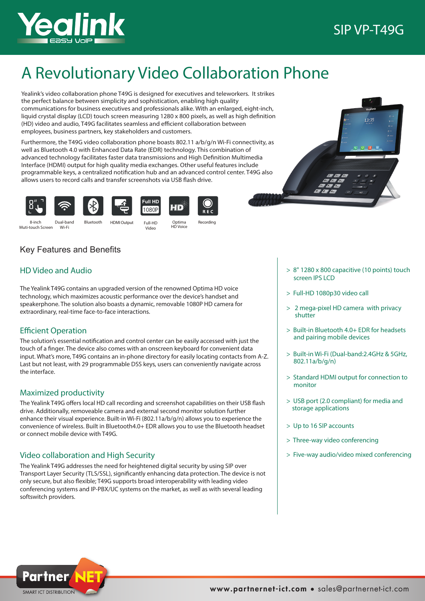

# A Revolutionary Video Collaboration Phone

Yealink's video collaboration phone T49G is designed for executives and teleworkers. It strikes the perfect balance between simplicity and sophistication, enabling high quality communications for business executives and professionals alike. With an enlarged, eight-inch, liquid crystal display (LCD) touch screen measuring 1280 x 800 pixels, as well as high definition (HD) video and audio, T49G facilitates seamless and efficient collaboration between employees, business partners, key stakeholders and customers.

Furthermore, the T49G video collaboration phone boasts 802.11 a/b/g/n Wi-Fi connectivity, as well as Bluetooth 4.0 with Enhanced Data Rate (EDR) technology. This combination of advanced technology facilitates faster data transmissions and High Definition Multimedia Interface (HDMI) output for high quality media exchanges. Other useful features include programmable keys, a centralized notification hub and an advanced control center. T49G also allows users to record calls and transfer screenshots via USB flash drive.

Full HD

1080P





HD Video and Audio

**Efficient Operation** 

Maximized productivity

or connect mobile device with T49G.

Video collaboration and High Security

the interface.

Key Features and Benefits

extraordinary, real-time face-to-face interactions.







Optima<br>HD Voice

Muti-touch Screen Wi-Fi

Dual-band HDMI Output Bluetooth Full-HD

The Yealink T49G contains an upgraded version of the renowned Optima HD voice technology, which maximizes acoustic performance over the device's handset and speakerphone. The solution also boasts a dynamic, removable 1080P HD camera for

The solution's essential notification and control center can be easily accessed with just the touch of a finger. The device also comes with an onscreen keyboard for convenient data input. What's more, T49G contains an in-phone directory for easily locating contacts from A-Z. Last but not least, with 29 programmable DSS keys, users can conveniently navigate across

The Yealink T49G offers local HD call recording and screenshot capabilities on their USB flash drive. Additionally, removeable camera and external second monitor solution further enhance their visual experience. Built-in Wi-Fi (802.11a/b/g/n) allows you to experience the convenience of wireless. Built in Bluetooth4.0+ EDR allows you to use the Bluetooth headset

HD Voice 8-inch Video

Recording

 $D E C$ 

> 8" 1280 x 800 capacitive (10 points) touch screen IPS LCD

- > Full-HD 1080p30 video call
- > 2 mega-pixel HD camera with privacy shutter
- > Built-in Bluetooth 4.0+ EDR for headsets and pairing mobile devices
- > Built-in Wi-Fi (Dual-band:2.4GHz & 5GHz, 802.11a/b/g/n)
- > Standard HDMI output for connection to monitor
- > USB port (2.0 compliant) for media and storage applications
- > Up to 16 SIP accounts
- > Three-way video conferencing
- > Five-way audio/video mixed conferencing

The Yealink T49G addresses the need for heightened digital security by using SIP over Transport Layer Security (TLS/SSL), significantly enhancing data protection. The device is not only secure, but also flexible; T49G supports broad interoperability with leading video conferencing systems and IP-PBX/UC systems on the market, as well as with several leading softswitch providers.